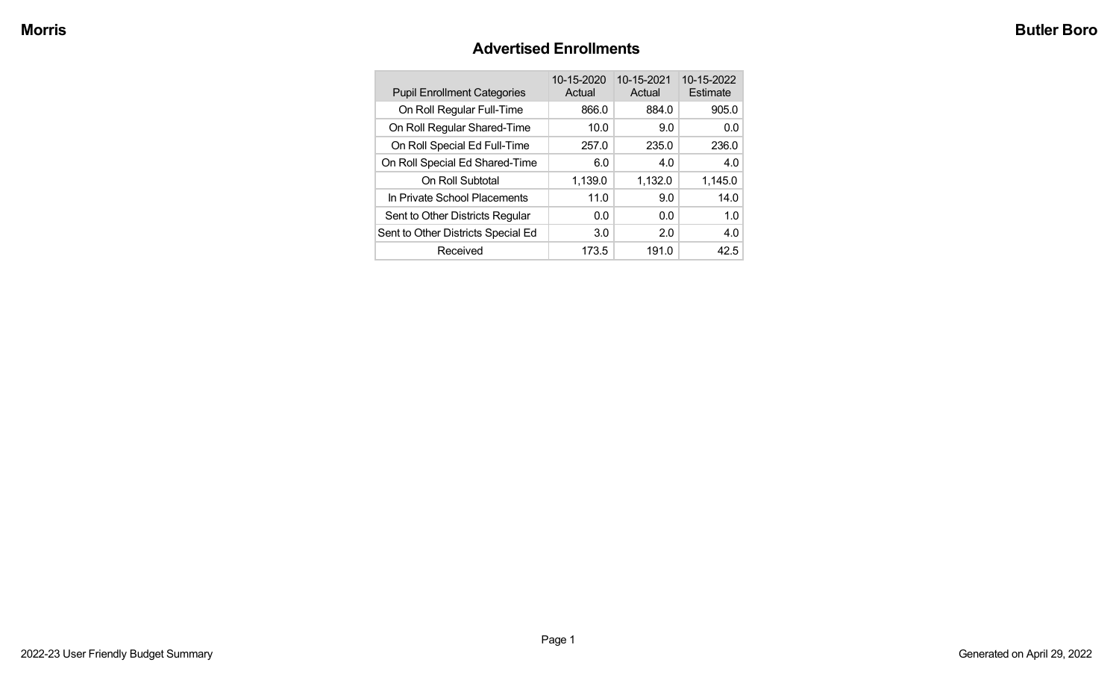# **Advertised Enrollments**

| <b>Pupil Enrollment Categories</b> | 10-15-2020<br>Actual | 10-15-2021<br>Actual | 10-15-2022<br>Estimate |
|------------------------------------|----------------------|----------------------|------------------------|
| On Roll Regular Full-Time          | 866.0                | 884.0                | 905.0                  |
| On Roll Regular Shared-Time        | 10.0                 | 9.0                  | 0.0                    |
| On Roll Special Ed Full-Time       | 257.0                | 235.0                | 236.0                  |
| On Roll Special Ed Shared-Time     | 6.0                  | 4.0                  | 4.0                    |
| On Roll Subtotal                   | 1,139.0              | 1,132.0              | 1,145.0                |
| In Private School Placements       | 11.0                 | 9.0                  | 14.0                   |
| Sent to Other Districts Regular    | 0.0                  | 0.0                  | 1.0                    |
| Sent to Other Districts Special Ed | 3.0                  | 2.0                  | 4.0                    |
| Received                           | 173.5                | 191.0                | 42.5                   |
|                                    |                      |                      |                        |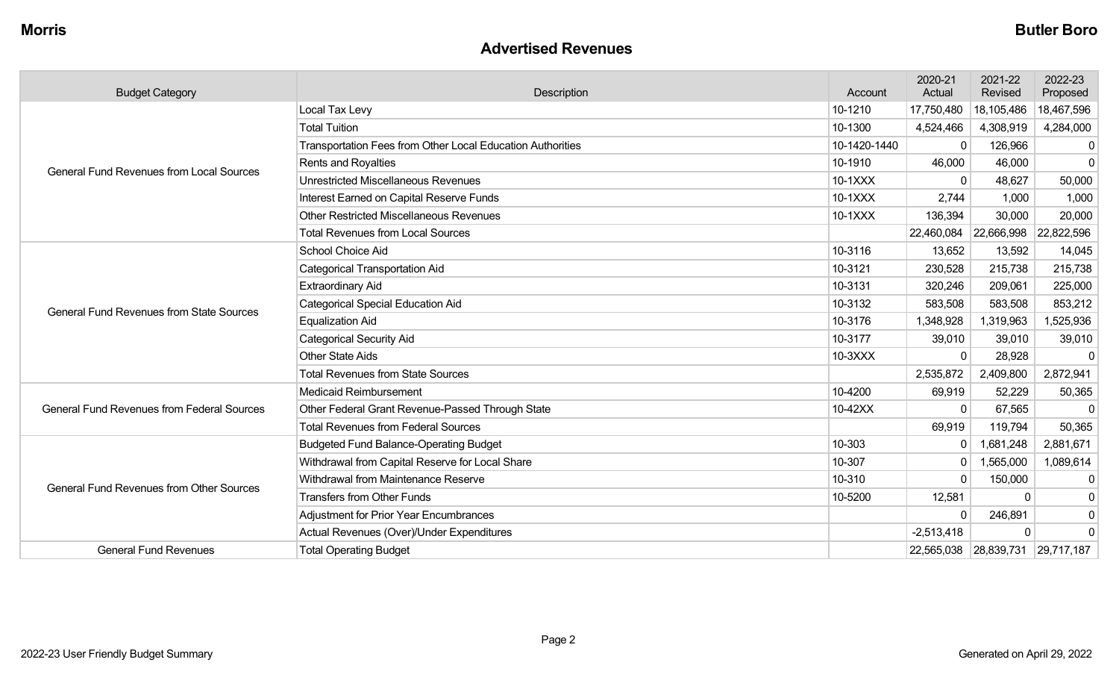#### **Advertised Revenues**

| <b>Budget Category</b>                            | Description                                                | Account      | 2020-21<br>Actual | 2021-22<br>Revised    | 2022-23<br>Proposed |
|---------------------------------------------------|------------------------------------------------------------|--------------|-------------------|-----------------------|---------------------|
|                                                   | Local Tax Levy                                             | 10-1210      | 17,750,480        | 18,105,486            | 18,467,596          |
|                                                   | <b>Total Tuition</b>                                       | 10-1300      | 4,524,466         | 4,308,919             | 4,284,000           |
|                                                   | Transportation Fees from Other Local Education Authorities | 10-1420-1440 | 0                 | 126,966               | 0                   |
| <b>General Fund Revenues from Local Sources</b>   | <b>Rents and Royalties</b>                                 | 10-1910      | 46,000            | 46,000                | $\mathbf 0$         |
|                                                   | <b>Unrestricted Miscellaneous Revenues</b>                 | 10-1XXX      | $\Omega$          | 48,627                | 50,000              |
|                                                   | Interest Earned on Capital Reserve Funds                   | 10-1XXX      | 2,744             | 1,000                 | 1,000               |
|                                                   | Other Restricted Miscellaneous Revenues                    | 10-1XXX      | 136,394           | 30,000                | 20,000              |
|                                                   | <b>Total Revenues from Local Sources</b>                   |              | 22,460,084        | 22,666,998            | 22,822,596          |
|                                                   | School Choice Aid                                          | 10-3116      | 13,652            | 13,592                | 14,045              |
|                                                   | <b>Categorical Transportation Aid</b>                      | 10-3121      | 230,528           | 215,738               | 215,738             |
|                                                   | <b>Extraordinary Aid</b>                                   | 10-3131      | 320,246           | 209,061               | 225,000             |
| <b>General Fund Revenues from State Sources</b>   | Categorical Special Education Aid                          | 10-3132      | 583,508           | 583,508               | 853,212             |
|                                                   | <b>Equalization Aid</b>                                    | 10-3176      | 1,348,928         | 1,319,963             | 1,525,936           |
|                                                   | <b>Categorical Security Aid</b>                            | 10-3177      | 39,010            | 39,010                | 39,010              |
|                                                   | Other State Aids                                           | 10-3XXX      | $\Omega$          | 28,928                | $\Omega$            |
|                                                   | <b>Total Revenues from State Sources</b>                   |              | 2,535,872         | 2,409,800             | 2,872,941           |
|                                                   | Medicaid Reimbursement                                     | 10-4200      | 69,919            | 52,229                | 50,365              |
| <b>General Fund Revenues from Federal Sources</b> | Other Federal Grant Revenue-Passed Through State           | 10-42XX      | $\Omega$          | 67,565                | $\Omega$            |
|                                                   | <b>Total Revenues from Federal Sources</b>                 |              | 69,919            | 119,794               | 50,365              |
|                                                   | <b>Budgeted Fund Balance-Operating Budget</b>              | 10-303       | $\mathbf{0}$      | 1,681,248             | 2,881,671           |
|                                                   | Withdrawal from Capital Reserve for Local Share            | 10-307       | $\mathbf{0}$      | 1,565,000             | 1,089,614           |
| <b>General Fund Revenues from Other Sources</b>   | Withdrawal from Maintenance Reserve                        | 10-310       | $\Omega$          | 150,000               | $\mathbf 0$         |
|                                                   | <b>Transfers from Other Funds</b>                          | 10-5200      | 12,581            | O                     | 0                   |
|                                                   | <b>Adjustment for Prior Year Encumbrances</b>              |              | $\Omega$          | 246,891               | $\mathbf 0$         |
|                                                   | Actual Revenues (Over)/Under Expenditures                  |              | $-2,513,418$      | $\Omega$              | $\mathbf 0$         |
| <b>General Fund Revenues</b>                      | <b>Total Operating Budget</b>                              |              |                   | 22,565,038 28,839,731 | 29,717,187          |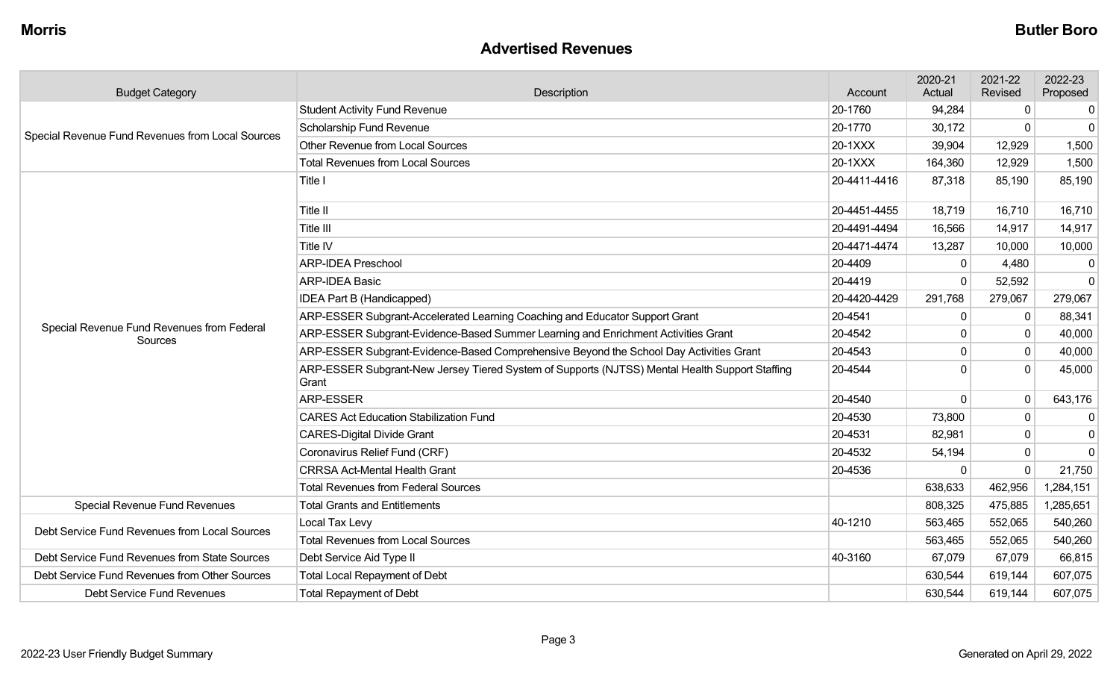#### **Advertised Revenues**

| <b>Budget Category</b>                                | Description                                                                                             | Account      | 2020-21<br>Actual | 2021-22<br>Revised | 2022-23<br>Proposed |
|-------------------------------------------------------|---------------------------------------------------------------------------------------------------------|--------------|-------------------|--------------------|---------------------|
|                                                       | <b>Student Activity Fund Revenue</b>                                                                    | 20-1760      | 94,284            | 0                  | $\overline{0}$      |
| Special Revenue Fund Revenues from Local Sources      | Scholarship Fund Revenue                                                                                | 20-1770      | 30,172            | $\Omega$           | $\mathbf 0$         |
|                                                       | <b>Other Revenue from Local Sources</b>                                                                 | 20-1XXX      | 39,904            | 12,929             | 1,500               |
|                                                       | <b>Total Revenues from Local Sources</b>                                                                | 20-1XXX      | 164,360           | 12,929             | 1,500               |
|                                                       | Title I                                                                                                 | 20-4411-4416 | 87,318            | 85,190             | 85,190              |
|                                                       | Title II                                                                                                | 20-4451-4455 | 18,719            | 16,710             | 16,710              |
|                                                       | Title III                                                                                               | 20-4491-4494 | 16,566            | 14,917             | 14,917              |
|                                                       | Title IV                                                                                                | 20-4471-4474 | 13,287            | 10,000             | 10,000              |
|                                                       | <b>ARP-IDEA Preschool</b>                                                                               | 20-4409      | $\mathbf{0}$      | 4,480              | 0                   |
|                                                       | <b>ARP-IDEA Basic</b>                                                                                   | 20-4419      | $\Omega$          | 52,592             | $\mathbf 0$         |
|                                                       | <b>IDEA Part B (Handicapped)</b>                                                                        | 20-4420-4429 | 291,768           | 279,067            | 279,067             |
|                                                       | ARP-ESSER Subgrant-Accelerated Learning Coaching and Educator Support Grant                             | 20-4541      | $\mathbf 0$       | $\mathbf{0}$       | 88,341              |
| Special Revenue Fund Revenues from Federal<br>Sources | ARP-ESSER Subgrant-Evidence-Based Summer Learning and Enrichment Activities Grant                       | 20-4542      | $\mathbf 0$       | $\mathbf 0$        | 40,000              |
|                                                       | ARP-ESSER Subgrant-Evidence-Based Comprehensive Beyond the School Day Activities Grant                  | 20-4543      | $\Omega$          | $\Omega$           | 40,000              |
|                                                       | ARP-ESSER Subgrant-New Jersey Tiered System of Supports (NJTSS) Mental Health Support Staffing<br>Grant | 20-4544      | $\Omega$          | $\Omega$           | 45,000              |
|                                                       | <b>ARP-ESSER</b>                                                                                        | 20-4540      | $\Omega$          | $\Omega$           | 643,176             |
|                                                       | <b>CARES Act Education Stabilization Fund</b>                                                           | 20-4530      | 73,800            | $\mathbf 0$        | $\overline{0}$      |
|                                                       | <b>CARES-Digital Divide Grant</b>                                                                       | 20-4531      | 82,981            | $\Omega$           | $\mathbf{0}$        |
|                                                       | Coronavirus Relief Fund (CRF)                                                                           | 20-4532      | 54,194            | $\mathbf{0}$       | $\mathbf 0$         |
|                                                       | <b>CRRSA Act-Mental Health Grant</b>                                                                    | 20-4536      | $\Omega$          | $\Omega$           | 21,750              |
|                                                       | <b>Total Revenues from Federal Sources</b>                                                              |              | 638,633           | 462,956            | 1,284,151           |
| Special Revenue Fund Revenues                         | <b>Total Grants and Entitlements</b>                                                                    |              | 808,325           | 475,885            | 1,285,651           |
| Debt Service Fund Revenues from Local Sources         | Local Tax Levy                                                                                          | 40-1210      | 563,465           | 552,065            | 540,260             |
|                                                       | <b>Total Revenues from Local Sources</b>                                                                |              | 563,465           | 552,065            | 540,260             |
| Debt Service Fund Revenues from State Sources         | Debt Service Aid Type II                                                                                | 40-3160      | 67,079            | 67,079             | 66,815              |
| Debt Service Fund Revenues from Other Sources         | <b>Total Local Repayment of Debt</b>                                                                    |              | 630,544           | 619,144            | 607,075             |
| Debt Service Fund Revenues                            | <b>Total Repayment of Debt</b>                                                                          |              | 630,544           | 619,144            | 607,075             |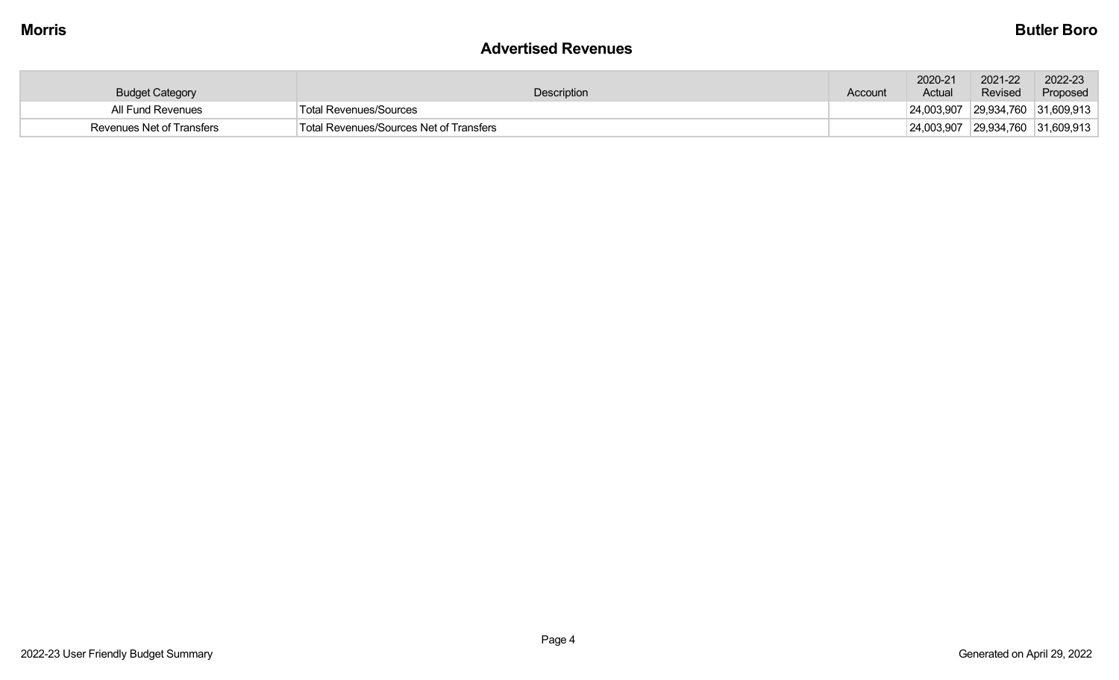#### **Advertised Revenues**

| <b>Budget Category</b>    | Description                             | Account | 2020-21<br>Actual | 2021-22<br>Revised               | 2022-23<br>Proposed |
|---------------------------|-----------------------------------------|---------|-------------------|----------------------------------|---------------------|
| All Fund Revenues         | Total Revenues/Sources                  |         |                   | 24,003,907 29,934,760 31,609,913 |                     |
| Revenues Net of Transfers | Total Revenues/Sources Net of Transfers |         |                   | 24,003,907 29,934,760 31,609,913 |                     |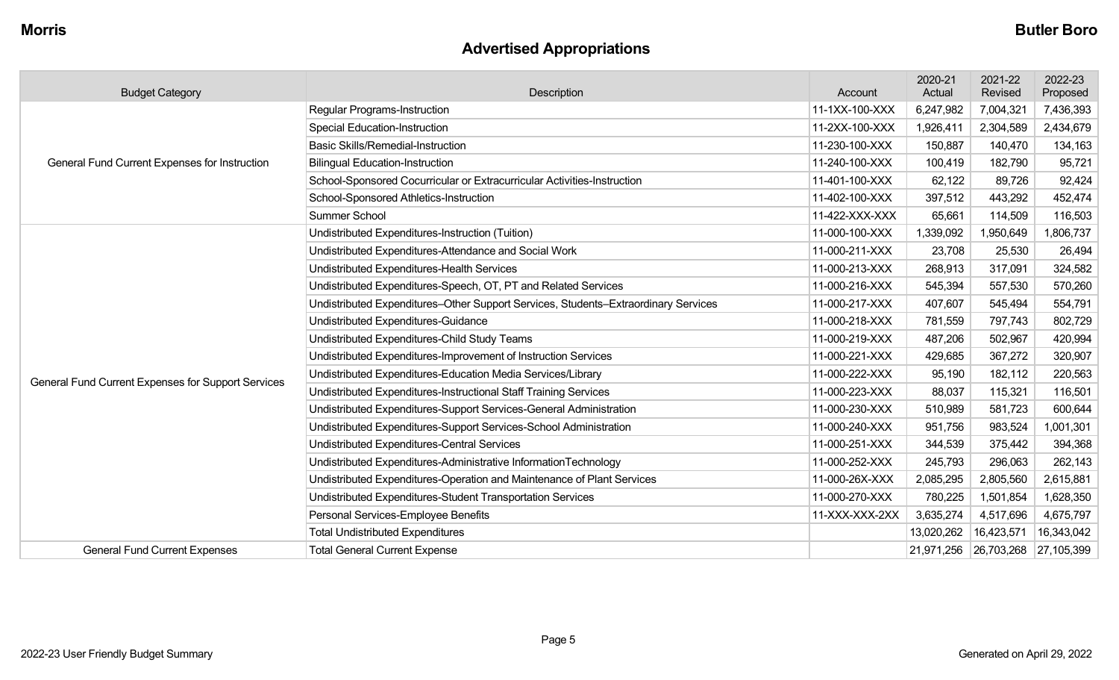# **Advertised Appropriations**

| <b>Budget Category</b>                             | <b>Description</b>                                                                 | Account        | 2020-21<br>Actual | 2021-22<br>Revised               | 2022-23<br>Proposed |
|----------------------------------------------------|------------------------------------------------------------------------------------|----------------|-------------------|----------------------------------|---------------------|
|                                                    | Regular Programs-Instruction                                                       | 11-1XX-100-XXX | 6,247,982         | 7,004,321                        | 7,436,393           |
|                                                    | <b>Special Education-Instruction</b>                                               | 11-2XX-100-XXX | 1,926,411         | 2,304,589                        | 2,434,679           |
|                                                    | <b>Basic Skills/Remedial-Instruction</b>                                           | 11-230-100-XXX | 150,887           | 140,470                          | 134,163             |
| General Fund Current Expenses for Instruction      | <b>Bilingual Education-Instruction</b>                                             | 11-240-100-XXX | 100,419           | 182,790                          | 95,721              |
|                                                    | School-Sponsored Cocurricular or Extracurricular Activities-Instruction            | 11-401-100-XXX | 62,122            | 89,726                           | 92,424              |
|                                                    | School-Sponsored Athletics-Instruction                                             | 11-402-100-XXX | 397,512           | 443,292                          | 452,474             |
|                                                    | Summer School                                                                      | 11-422-XXX-XXX | 65,661            | 114,509                          | 116,503             |
|                                                    | Undistributed Expenditures-Instruction (Tuition)                                   | 11-000-100-XXX | 1,339,092         | 1,950,649                        | 1,806,737           |
|                                                    | Undistributed Expenditures-Attendance and Social Work                              | 11-000-211-XXX | 23,708            | 25,530                           | 26,494              |
|                                                    | Undistributed Expenditures-Health Services                                         | 11-000-213-XXX | 268,913           | 317,091                          | 324,582             |
|                                                    | Undistributed Expenditures-Speech, OT, PT and Related Services                     | 11-000-216-XXX | 545,394           | 557,530                          | 570,260             |
|                                                    | Undistributed Expenditures-Other Support Services, Students-Extraordinary Services | 11-000-217-XXX | 407,607           | 545,494                          | 554,791             |
|                                                    | Undistributed Expenditures-Guidance                                                | 11-000-218-XXX | 781,559           | 797,743                          | 802,729             |
|                                                    | Undistributed Expenditures-Child Study Teams                                       | 11-000-219-XXX | 487,206           | 502,967                          | 420,994             |
|                                                    | Undistributed Expenditures-Improvement of Instruction Services                     | 11-000-221-XXX | 429,685           | 367,272                          | 320,907             |
| General Fund Current Expenses for Support Services | Undistributed Expenditures-Education Media Services/Library                        | 11-000-222-XXX | 95,190            | 182,112                          | 220,563             |
|                                                    | Undistributed Expenditures-Instructional Staff Training Services                   | 11-000-223-XXX | 88,037            | 115,321                          | 116,501             |
|                                                    | Undistributed Expenditures-Support Services-General Administration                 | 11-000-230-XXX | 510,989           | 581,723                          | 600,644             |
|                                                    | Undistributed Expenditures-Support Services-School Administration                  | 11-000-240-XXX | 951,756           | 983,524                          | 1,001,301           |
|                                                    | Undistributed Expenditures-Central Services                                        | 11-000-251-XXX | 344,539           | 375,442                          | 394,368             |
|                                                    | Undistributed Expenditures-Administrative InformationTechnology                    | 11-000-252-XXX | 245,793           | 296,063                          | 262,143             |
|                                                    | Undistributed Expenditures-Operation and Maintenance of Plant Services             | 11-000-26X-XXX | 2,085,295         | 2,805,560                        | 2,615,881           |
|                                                    | Undistributed Expenditures-Student Transportation Services                         | 11-000-270-XXX | 780,225           | 1,501,854                        | 1,628,350           |
|                                                    | Personal Services-Employee Benefits                                                | 11-XXX-XXX-2XX | 3,635,274         | 4,517,696                        | 4,675,797           |
|                                                    | <b>Total Undistributed Expenditures</b>                                            |                | 13,020,262        | 16,423,571                       | 16,343,042          |
| <b>General Fund Current Expenses</b>               | <b>Total General Current Expense</b>                                               |                |                   | 21,971,256 26,703,268 27,105,399 |                     |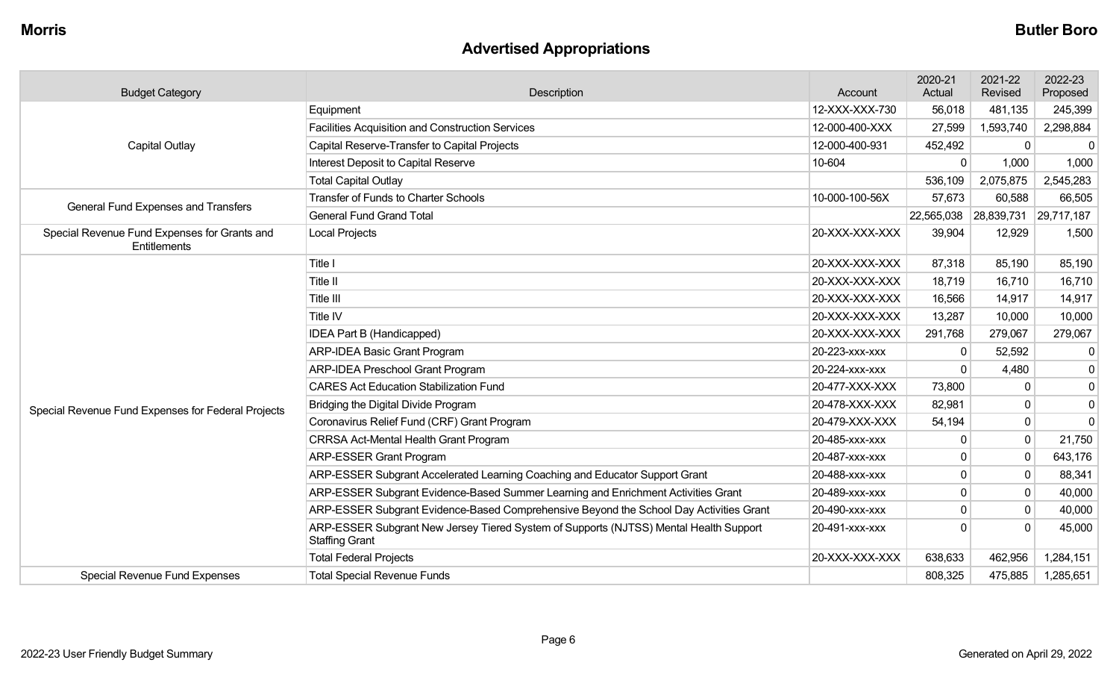# **Advertised Appropriations**

| <b>Budget Category</b>                                       | <b>Description</b><br>Account                                                                                  |                | 2020-21<br>Actual | 2021-22<br>Revised    | 2022-23<br>Proposed |
|--------------------------------------------------------------|----------------------------------------------------------------------------------------------------------------|----------------|-------------------|-----------------------|---------------------|
|                                                              | Equipment                                                                                                      | 12-XXX-XXX-730 | 56,018            | 481,135               | 245,399             |
|                                                              | <b>Facilities Acquisition and Construction Services</b>                                                        | 12-000-400-XXX | 27,599            | 1,593,740             | 2,298,884           |
| <b>Capital Outlay</b>                                        | Capital Reserve-Transfer to Capital Projects                                                                   | 12-000-400-931 | 452,492           |                       | $\Omega$            |
|                                                              | Interest Deposit to Capital Reserve                                                                            | 10-604         | $\Omega$          | 1,000                 | 1,000               |
|                                                              | <b>Total Capital Outlay</b>                                                                                    |                | 536,109           | 2,075,875             | 2,545,283           |
| <b>General Fund Expenses and Transfers</b>                   | <b>Transfer of Funds to Charter Schools</b>                                                                    | 10-000-100-56X | 57,673            | 60,588                | 66,505              |
|                                                              | <b>General Fund Grand Total</b>                                                                                |                |                   | 22,565,038 28,839,731 | 29,717,187          |
| Special Revenue Fund Expenses for Grants and<br>Entitlements | Local Projects                                                                                                 | 20-XXX-XXX-XXX | 39,904            | 12,929                | 1,500               |
|                                                              | Title I                                                                                                        | 20-XXX-XXX-XXX | 87,318            | 85,190                | 85,190              |
|                                                              | Title II                                                                                                       | 20-XXX-XXX-XXX | 18,719            | 16,710                | 16,710              |
|                                                              | Title III                                                                                                      | 20-XXX-XXX-XXX | 16,566            | 14,917                | 14,917              |
|                                                              | <b>Title IV</b>                                                                                                | 20-XXX-XXX-XXX | 13,287            | 10,000                | 10,000              |
|                                                              | IDEA Part B (Handicapped)                                                                                      | 20-XXX-XXX-XXX | 291,768           | 279,067               | 279,067             |
|                                                              | <b>ARP-IDEA Basic Grant Program</b>                                                                            | 20-223-XXX-XXX | $\Omega$          | 52,592                | $\mathbf{0}$        |
|                                                              | <b>ARP-IDEA Preschool Grant Program</b>                                                                        | 20-224-xxx-xxx | $\Omega$          | 4,480                 | $\mathbf 0$         |
|                                                              | <b>CARES Act Education Stabilization Fund</b>                                                                  | 20-477-XXX-XXX | 73,800            |                       | $\mathbf 0$         |
| Special Revenue Fund Expenses for Federal Projects           | Bridging the Digital Divide Program                                                                            | 20-478-XXX-XXX | 82,981            | $\mathbf{0}$          | $\mathbf 0$         |
|                                                              | Coronavirus Relief Fund (CRF) Grant Program                                                                    | 20-479-XXX-XXX | 54,194            | $\mathbf{0}$          | $\mathbf 0$         |
|                                                              | <b>CRRSA Act-Mental Health Grant Program</b>                                                                   | 20-485-xxx-xxx | 0                 | $\mathbf 0$           | 21,750              |
|                                                              | <b>ARP-ESSER Grant Program</b>                                                                                 | 20-487-xxx-xxx | 0                 | $\Omega$              | 643,176             |
|                                                              | ARP-ESSER Subgrant Accelerated Learning Coaching and Educator Support Grant                                    | 20-488-XXX-XXX | U                 | $\mathbf{0}$          | 88,341              |
|                                                              | ARP-ESSER Subgrant Evidence-Based Summer Learning and Enrichment Activities Grant                              | 20-489-xxx-xxx | $\mathbf 0$       | $\mathbf 0$           | 40,000              |
|                                                              | ARP-ESSER Subgrant Evidence-Based Comprehensive Beyond the School Day Activities Grant                         | 20-490-xxx-xxx | 0                 |                       | 40,000              |
|                                                              | ARP-ESSER Subgrant New Jersey Tiered System of Supports (NJTSS) Mental Health Support<br><b>Staffing Grant</b> | 20-491-xxx-xxx | U                 |                       | 45,000              |
|                                                              | <b>Total Federal Projects</b>                                                                                  | 20-XXX-XXX-XXX | 638,633           | 462,956               | 1,284,151           |
| <b>Special Revenue Fund Expenses</b>                         | <b>Total Special Revenue Funds</b>                                                                             |                | 808,325           | 475,885               | 1,285,651           |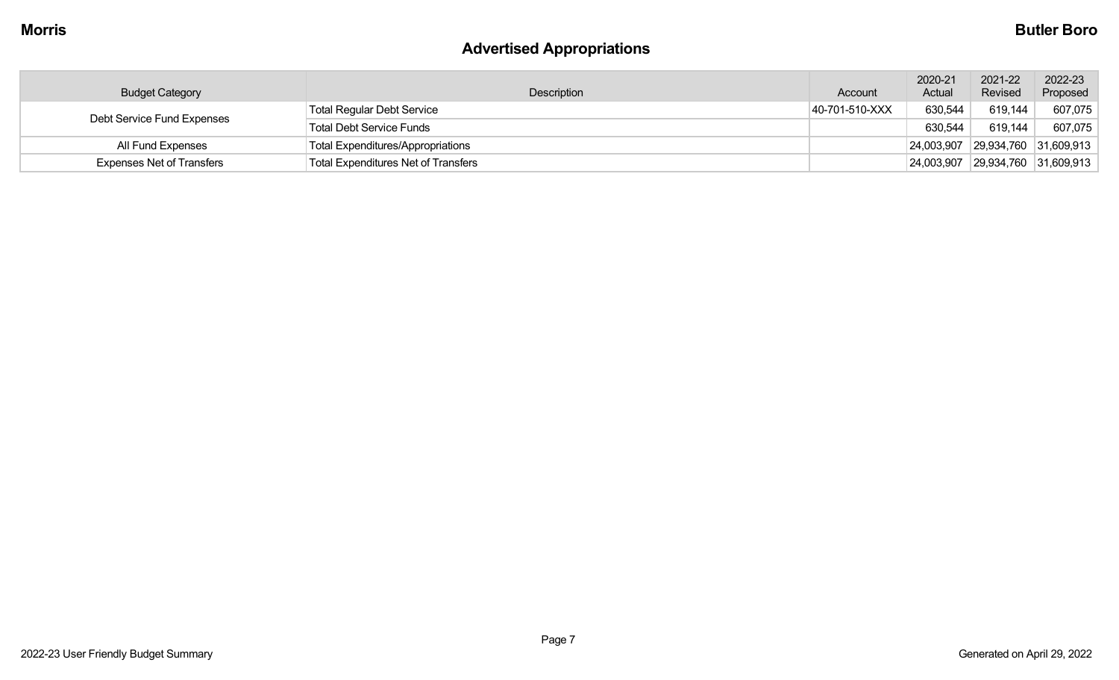# **Advertised Appropriations**

| <b>Budget Category</b>           | Description                                | Account        | 2020-21<br>Actual | 2021-22<br>Revised    | 2022-23<br>Proposed |
|----------------------------------|--------------------------------------------|----------------|-------------------|-----------------------|---------------------|
|                                  | <b>Total Regular Debt Service</b>          | 40-701-510-XXX | 630,544           | 619,144               | 607,075             |
| Debt Service Fund Expenses       | <b>Total Debt Service Funds</b>            |                | 630,544           | 619,144               | 607,075             |
| All Fund Expenses                | <b>Total Expenditures/Appropriations</b>   |                |                   | 24,003,907 29,934,760 | 31,609,913          |
| <b>Expenses Net of Transfers</b> | <b>Total Expenditures Net of Transfers</b> |                | 24,003,907        | 29,934,760            | 31,609,913          |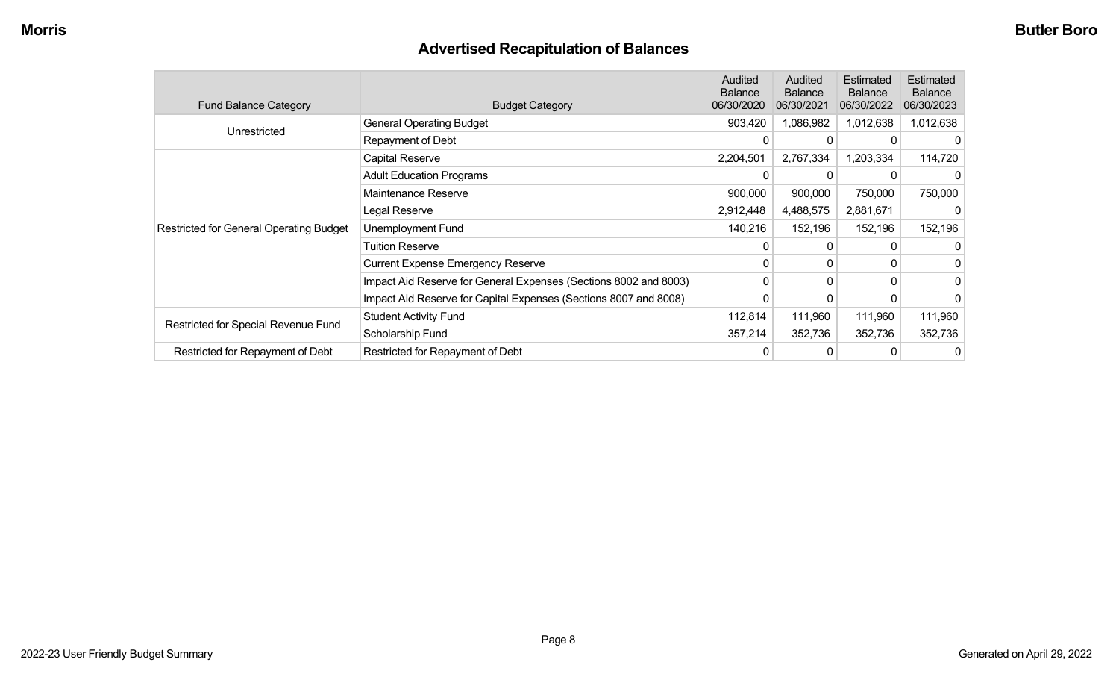# **Advertised Recapitulation of Balances**

| <b>Fund Balance Category</b>                   | <b>Budget Category</b>                                           | Audited<br><b>Balance</b><br>06/30/2020 | Audited<br><b>Balance</b><br>06/30/2021 | Estimated<br><b>Balance</b><br>06/30/2022 | <b>Estimated</b><br><b>Balance</b><br>06/30/2023 |
|------------------------------------------------|------------------------------------------------------------------|-----------------------------------------|-----------------------------------------|-------------------------------------------|--------------------------------------------------|
| Unrestricted                                   | <b>General Operating Budget</b>                                  | 903,420                                 | 1,086,982                               | 1,012,638                                 | 1,012,638                                        |
|                                                | Repayment of Debt                                                | 0                                       | 0                                       | 0                                         |                                                  |
|                                                | Capital Reserve                                                  | 2,204,501                               | 2,767,334                               | 1,203,334                                 | 114,720                                          |
|                                                | <b>Adult Education Programs</b>                                  |                                         |                                         |                                           |                                                  |
|                                                | Maintenance Reserve                                              | 900,000                                 | 900,000                                 | 750,000                                   | 750,000                                          |
|                                                | Legal Reserve                                                    | 2,912,448                               | 4,488,575                               | 2,881,671                                 |                                                  |
| <b>Restricted for General Operating Budget</b> | Unemployment Fund                                                | 140,216                                 | 152,196                                 | 152,196                                   | 152,196                                          |
|                                                | <b>Tuition Reserve</b>                                           | 0                                       | 0                                       | 0                                         |                                                  |
|                                                | <b>Current Expense Emergency Reserve</b>                         | 0                                       | $\mathbf{0}$                            | 0                                         |                                                  |
|                                                | Impact Aid Reserve for General Expenses (Sections 8002 and 8003) | 0                                       | 0                                       | 0                                         | 0                                                |
|                                                | Impact Aid Reserve for Capital Expenses (Sections 8007 and 8008) | 0                                       | 0                                       |                                           |                                                  |
| Restricted for Special Revenue Fund            | <b>Student Activity Fund</b>                                     | 112,814                                 | 111,960                                 | 111,960                                   | 111,960                                          |
|                                                | Scholarship Fund                                                 | 357,214                                 | 352,736                                 | 352,736                                   | 352,736                                          |
| Restricted for Repayment of Debt               | Restricted for Repayment of Debt                                 | 0                                       | 0                                       |                                           | 0                                                |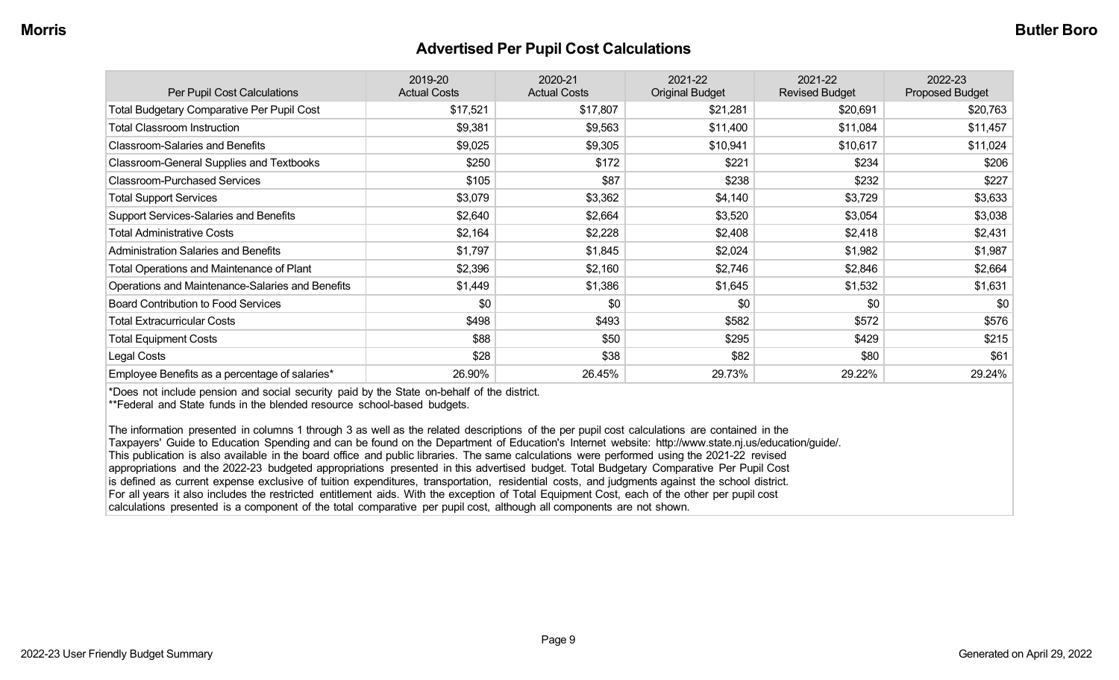#### **Advertised Per Pupil Cost Calculations**

| Per Pupil Cost Calculations                       | 2019-20<br><b>Actual Costs</b> | 2020-21<br><b>Actual Costs</b> | 2021-22<br><b>Original Budget</b> | 2021-22<br><b>Revised Budget</b> | 2022-23<br><b>Proposed Budget</b> |
|---------------------------------------------------|--------------------------------|--------------------------------|-----------------------------------|----------------------------------|-----------------------------------|
| <b>Total Budgetary Comparative Per Pupil Cost</b> | \$17,521                       | \$17,807                       | \$21,281                          | \$20,691                         | \$20,763                          |
| <b>Total Classroom Instruction</b>                | \$9,381                        | \$9,563                        | \$11,400                          | \$11,084                         | \$11,457                          |
| <b>Classroom-Salaries and Benefits</b>            | \$9,025                        | \$9,305                        | \$10,941                          | \$10,617                         | \$11,024                          |
| Classroom-General Supplies and Textbooks          | \$250                          | \$172                          | \$221                             | \$234                            | \$206                             |
| <b>Classroom-Purchased Services</b>               | \$105                          | \$87                           | \$238                             | \$232                            | \$227                             |
| <b>Total Support Services</b>                     | \$3,079                        | \$3,362                        | \$4,140                           | \$3,729                          | \$3,633                           |
| Support Services-Salaries and Benefits            | \$2,640                        | \$2,664                        | \$3,520                           | \$3,054                          | \$3,038                           |
| <b>Total Administrative Costs</b>                 | \$2,164                        | \$2,228                        | \$2,408                           | \$2,418                          | \$2,431                           |
| <b>Administration Salaries and Benefits</b>       | \$1,797                        | \$1,845                        | \$2,024                           | \$1,982                          | \$1,987                           |
| <b>Total Operations and Maintenance of Plant</b>  | \$2,396                        | \$2,160                        | \$2,746                           | \$2,846                          | \$2,664                           |
| Operations and Maintenance-Salaries and Benefits  | \$1,449                        | \$1,386                        | \$1,645                           | \$1,532                          | \$1,631                           |
| <b>Board Contribution to Food Services</b>        | \$0                            | \$0                            | \$0                               | \$0                              | \$0                               |
| <b>Total Extracurricular Costs</b>                | \$498                          | \$493                          | \$582                             | \$572                            | \$576                             |
| <b>Total Equipment Costs</b>                      | \$88                           | \$50                           | \$295                             | \$429                            | \$215                             |
| Legal Costs                                       | \$28                           | \$38                           | \$82                              | \$80                             | \$61                              |
| Employee Benefits as a percentage of salaries*    | 26.90%                         | 26.45%                         | 29.73%                            | 29.22%                           | 29.24%                            |

\*Does not include pension and social security paid by the State on-behalf of the district.

\*\*Federal and State funds in the blended resource school-based budgets.

The information presented in columns 1 through 3 as well as the related descriptions of the per pupil cost calculations are contained in the Taxpayers' Guide to Education Spending and can be found on the Department of Education's Internet website: http://www.state.nj.us/education/guide/. This publication is also available in the board office and public libraries. The same calculations were performed using the 2021-22 revised appropriations and the 2022-23 budgeted appropriations presented in this advertised budget. Total Budgetary Comparative Per Pupil Cost is defined as current expense exclusive of tuition expenditures, transportation, residential costs, and judgments against the school district. For all years it also includes the restricted entitlement aids. With the exception of Total Equipment Cost, each of the other per pupil cost calculations presented is a component of the total comparative per pupil cost, although all components are not shown.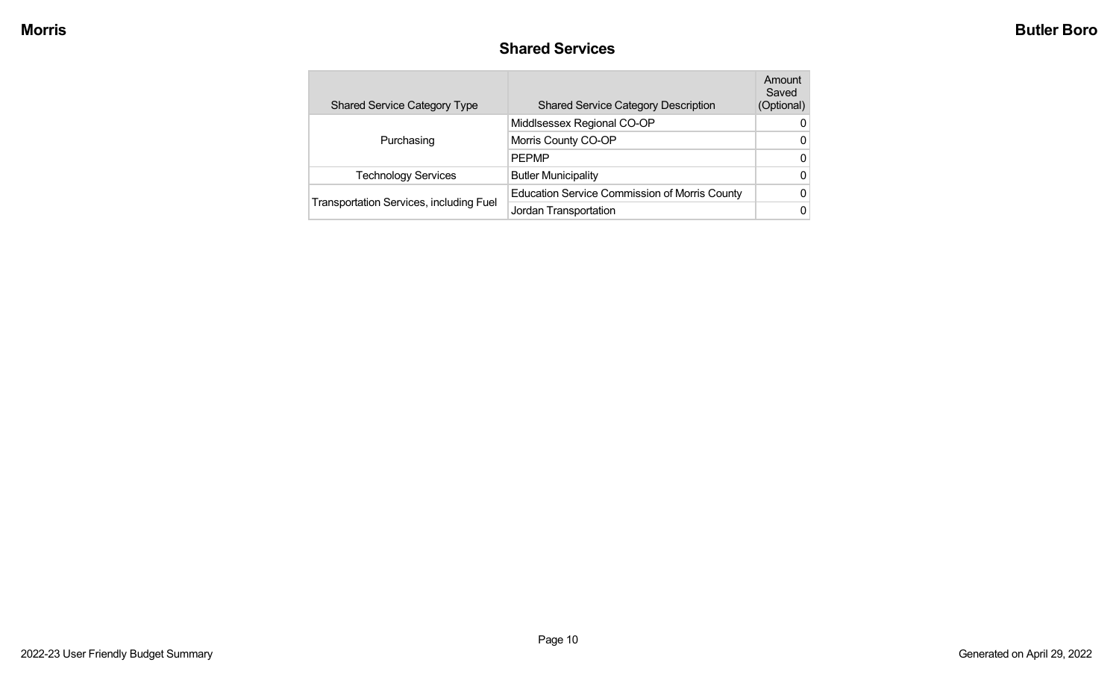#### **Shared Services**

| <b>Shared Service Category Type</b>            | <b>Shared Service Category Description</b>           | Amount<br>Saved<br>(Optional) |
|------------------------------------------------|------------------------------------------------------|-------------------------------|
|                                                | Middlsessex Regional CO-OP                           | 0                             |
| Purchasing                                     | Morris County CO-OP                                  | 0                             |
|                                                | <b>PEPMP</b>                                         | 0                             |
| <b>Technology Services</b>                     | <b>Butler Municipality</b>                           | 0                             |
|                                                | <b>Education Service Commission of Morris County</b> | 0                             |
| <b>Transportation Services, including Fuel</b> | Jordan Transportation                                | 0                             |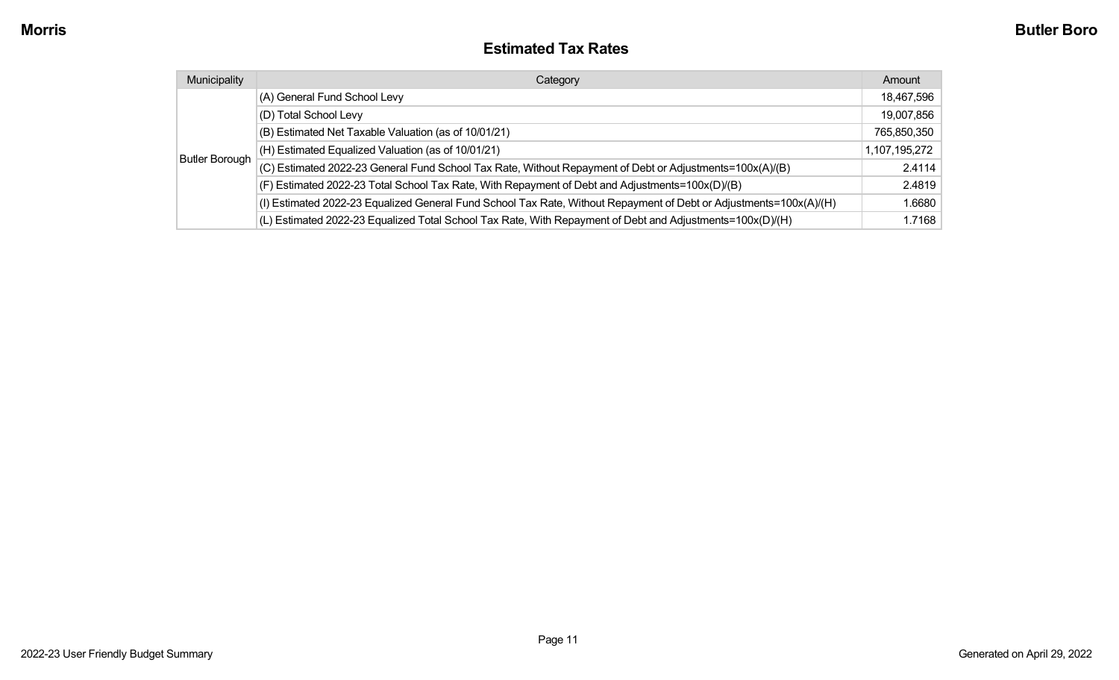#### **Estimated Tax Rates**

| Municipality          | Category                                                                                                           | Amount        |
|-----------------------|--------------------------------------------------------------------------------------------------------------------|---------------|
|                       | (A) General Fund School Levy                                                                                       | 18,467,596    |
|                       | (D) Total School Levy                                                                                              | 19,007,856    |
|                       | (B) Estimated Net Taxable Valuation (as of 10/01/21)                                                               | 765,850,350   |
|                       | (H) Estimated Equalized Valuation (as of 10/01/21)                                                                 | 1,107,195,272 |
| <b>Butler Borough</b> | (C) Estimated 2022-23 General Fund School Tax Rate, Without Repayment of Debt or Adjustments=100x(A)/(B)           | 2.4114        |
|                       | (F) Estimated 2022-23 Total School Tax Rate, With Repayment of Debt and Adjustments=100x(D)/(B)                    | 2.4819        |
|                       | (I) Estimated 2022-23 Equalized General Fund School Tax Rate, Without Repayment of Debt or Adjustments=100x(A)/(H) | 1.6680        |
|                       | (L) Estimated 2022-23 Equalized Total School Tax Rate, With Repayment of Debt and Adjustments=100x(D)/(H)          | 1.7168        |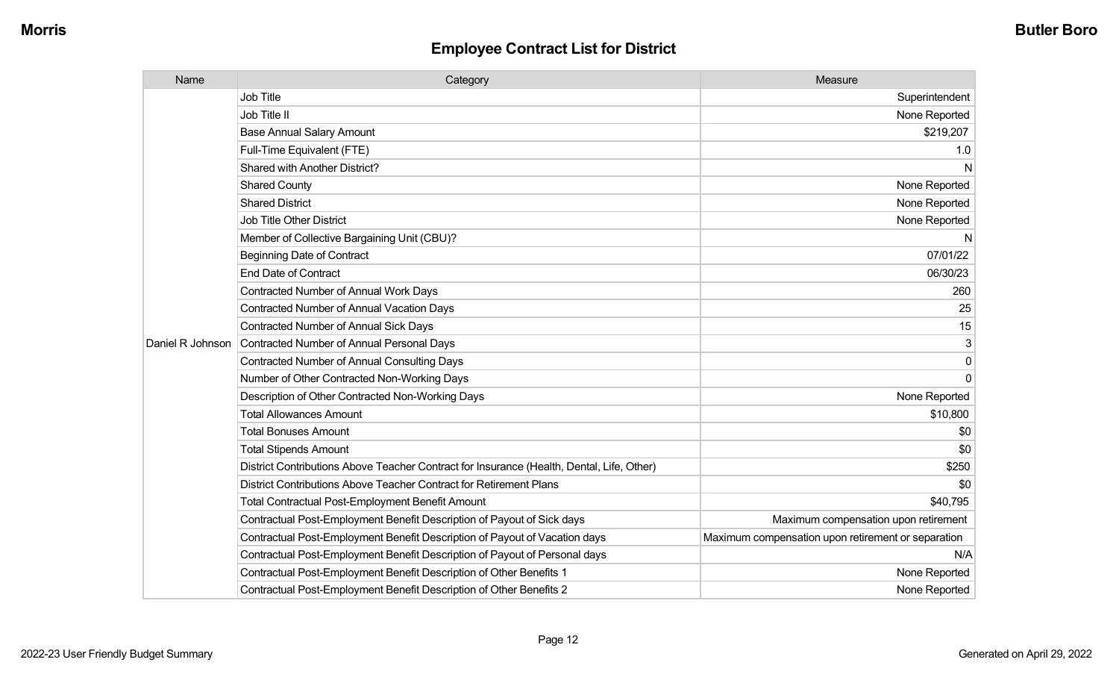| Name             | Category                                                                                  | Measure                                            |
|------------------|-------------------------------------------------------------------------------------------|----------------------------------------------------|
|                  | <b>Job Title</b>                                                                          | Superintendent                                     |
|                  | Job Title II                                                                              | None Reported                                      |
|                  | <b>Base Annual Salary Amount</b>                                                          | \$219,207                                          |
|                  | Full-Time Equivalent (FTE)                                                                | 1.0                                                |
|                  | Shared with Another District?                                                             | N                                                  |
|                  | <b>Shared County</b>                                                                      | None Reported                                      |
|                  | <b>Shared District</b>                                                                    | None Reported                                      |
|                  | <b>Job Title Other District</b>                                                           | None Reported                                      |
|                  | Member of Collective Bargaining Unit (CBU)?                                               | N                                                  |
|                  | <b>Beginning Date of Contract</b>                                                         | 07/01/22                                           |
|                  | <b>End Date of Contract</b>                                                               | 06/30/23                                           |
|                  | Contracted Number of Annual Work Days                                                     | 260                                                |
|                  | Contracted Number of Annual Vacation Days                                                 | 25                                                 |
|                  | <b>Contracted Number of Annual Sick Days</b>                                              | 15                                                 |
| Daniel R Johnson | <b>Contracted Number of Annual Personal Days</b>                                          | 3                                                  |
|                  | <b>Contracted Number of Annual Consulting Days</b>                                        | 0                                                  |
|                  | Number of Other Contracted Non-Working Days                                               | $\Omega$                                           |
|                  | Description of Other Contracted Non-Working Days                                          | None Reported                                      |
|                  | <b>Total Allowances Amount</b>                                                            | \$10,800                                           |
|                  | <b>Total Bonuses Amount</b>                                                               | \$0                                                |
|                  | <b>Total Stipends Amount</b>                                                              | \$0                                                |
|                  | District Contributions Above Teacher Contract for Insurance (Health, Dental, Life, Other) | \$250                                              |
|                  | District Contributions Above Teacher Contract for Retirement Plans                        | \$0                                                |
|                  | <b>Total Contractual Post-Employment Benefit Amount</b>                                   | \$40,795                                           |
|                  | Contractual Post-Employment Benefit Description of Payout of Sick days                    | Maximum compensation upon retirement               |
|                  | Contractual Post-Employment Benefit Description of Payout of Vacation days                | Maximum compensation upon retirement or separation |
|                  | Contractual Post-Employment Benefit Description of Payout of Personal days                | N/A                                                |
|                  | Contractual Post-Employment Benefit Description of Other Benefits 1                       | None Reported                                      |
|                  | Contractual Post-Employment Benefit Description of Other Benefits 2                       | None Reported                                      |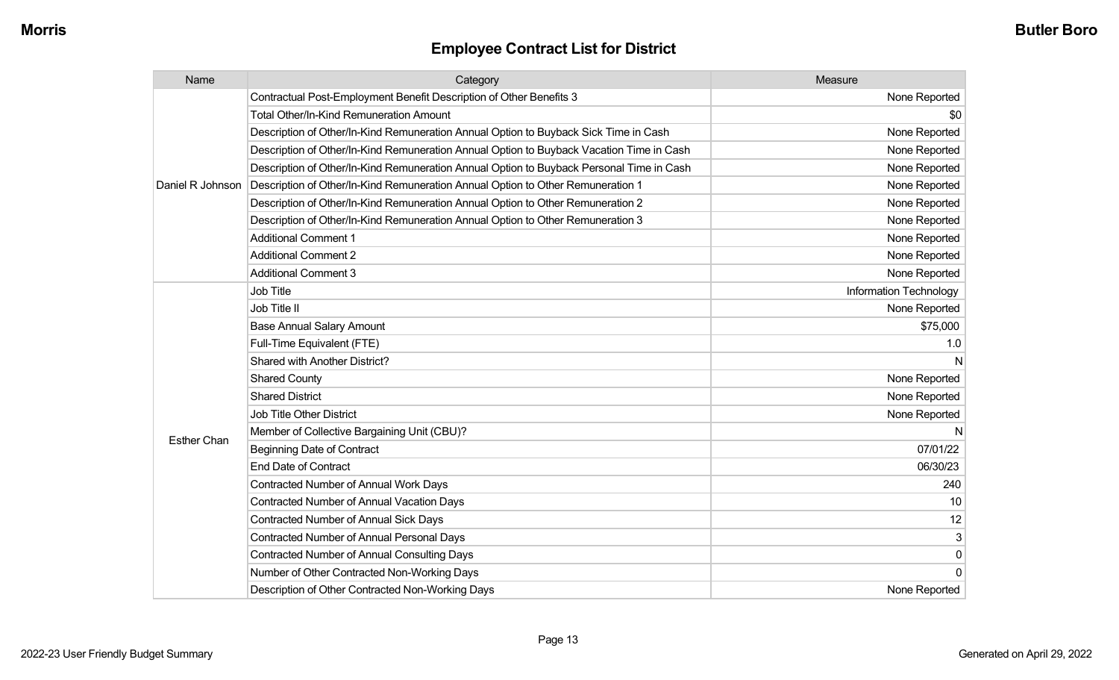| Name               | Category                                                                                 | Measure                |
|--------------------|------------------------------------------------------------------------------------------|------------------------|
|                    | Contractual Post-Employment Benefit Description of Other Benefits 3                      | None Reported          |
|                    | <b>Total Other/In-Kind Remuneration Amount</b>                                           | \$0                    |
|                    | Description of Other/In-Kind Remuneration Annual Option to Buyback Sick Time in Cash     | None Reported          |
|                    | Description of Other/In-Kind Remuneration Annual Option to Buyback Vacation Time in Cash | None Reported          |
|                    | Description of Other/In-Kind Remuneration Annual Option to Buyback Personal Time in Cash | None Reported          |
| Daniel R Johnson   | Description of Other/In-Kind Remuneration Annual Option to Other Remuneration 1          | None Reported          |
|                    | Description of Other/In-Kind Remuneration Annual Option to Other Remuneration 2          | None Reported          |
|                    | Description of Other/In-Kind Remuneration Annual Option to Other Remuneration 3          | None Reported          |
|                    | <b>Additional Comment 1</b>                                                              | None Reported          |
|                    | <b>Additional Comment 2</b>                                                              | None Reported          |
|                    | <b>Additional Comment 3</b>                                                              | None Reported          |
|                    | <b>Job Title</b>                                                                         | Information Technology |
|                    | Job Title II                                                                             | None Reported          |
|                    | <b>Base Annual Salary Amount</b>                                                         | \$75,000               |
|                    | Full-Time Equivalent (FTE)                                                               | 1.0                    |
|                    | <b>Shared with Another District?</b>                                                     | N                      |
|                    | <b>Shared County</b>                                                                     | None Reported          |
|                    | <b>Shared District</b>                                                                   | None Reported          |
|                    | <b>Job Title Other District</b>                                                          | None Reported          |
|                    | Member of Collective Bargaining Unit (CBU)?                                              | N                      |
| <b>Esther Chan</b> | <b>Beginning Date of Contract</b>                                                        | 07/01/22               |
|                    | <b>End Date of Contract</b>                                                              | 06/30/23               |
|                    | Contracted Number of Annual Work Days                                                    | 240                    |
|                    | <b>Contracted Number of Annual Vacation Days</b>                                         | 10 <sup>1</sup>        |
|                    | <b>Contracted Number of Annual Sick Days</b>                                             | 12                     |
|                    | <b>Contracted Number of Annual Personal Days</b>                                         | 3                      |
|                    | <b>Contracted Number of Annual Consulting Days</b>                                       | $\pmb{0}$              |
|                    | Number of Other Contracted Non-Working Days                                              | $\overline{0}$         |
|                    | Description of Other Contracted Non-Working Days                                         | None Reported          |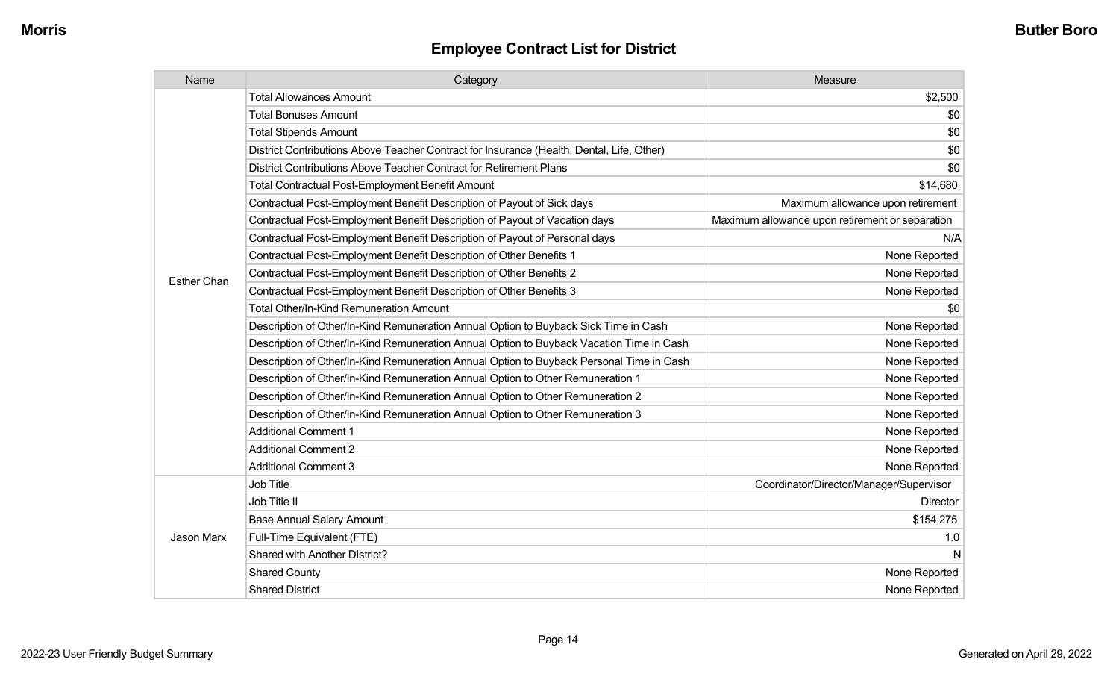| Name               | Category                                                                                  | Measure                                         |
|--------------------|-------------------------------------------------------------------------------------------|-------------------------------------------------|
|                    | <b>Total Allowances Amount</b>                                                            | \$2,500                                         |
|                    | <b>Total Bonuses Amount</b>                                                               | \$0                                             |
|                    | <b>Total Stipends Amount</b>                                                              | \$0                                             |
|                    | District Contributions Above Teacher Contract for Insurance (Health, Dental, Life, Other) | \$0                                             |
|                    | District Contributions Above Teacher Contract for Retirement Plans                        | \$0                                             |
|                    | <b>Total Contractual Post-Employment Benefit Amount</b>                                   | \$14,680                                        |
|                    | Contractual Post-Employment Benefit Description of Payout of Sick days                    | Maximum allowance upon retirement               |
|                    | Contractual Post-Employment Benefit Description of Payout of Vacation days                | Maximum allowance upon retirement or separation |
|                    | Contractual Post-Employment Benefit Description of Payout of Personal days                | N/A                                             |
|                    | Contractual Post-Employment Benefit Description of Other Benefits 1                       | None Reported                                   |
| <b>Esther Chan</b> | Contractual Post-Employment Benefit Description of Other Benefits 2                       | None Reported                                   |
|                    | Contractual Post-Employment Benefit Description of Other Benefits 3                       | None Reported                                   |
|                    | <b>Total Other/In-Kind Remuneration Amount</b>                                            | \$0                                             |
|                    | Description of Other/In-Kind Remuneration Annual Option to Buyback Sick Time in Cash      | None Reported                                   |
|                    | Description of Other/In-Kind Remuneration Annual Option to Buyback Vacation Time in Cash  | None Reported                                   |
|                    | Description of Other/In-Kind Remuneration Annual Option to Buyback Personal Time in Cash  | None Reported                                   |
|                    | Description of Other/In-Kind Remuneration Annual Option to Other Remuneration 1           | None Reported                                   |
|                    | Description of Other/In-Kind Remuneration Annual Option to Other Remuneration 2           | None Reported                                   |
|                    | Description of Other/In-Kind Remuneration Annual Option to Other Remuneration 3           | None Reported                                   |
|                    | <b>Additional Comment 1</b>                                                               | None Reported                                   |
|                    | <b>Additional Comment 2</b>                                                               | None Reported                                   |
|                    | <b>Additional Comment 3</b>                                                               | None Reported                                   |
|                    | Job Title                                                                                 | Coordinator/Director/Manager/Supervisor         |
| <b>Jason Marx</b>  | Job Title II                                                                              | Director                                        |
|                    | <b>Base Annual Salary Amount</b>                                                          | \$154,275                                       |
|                    | Full-Time Equivalent (FTE)                                                                | 1.0                                             |
|                    | Shared with Another District?                                                             | N                                               |
|                    | <b>Shared County</b>                                                                      | None Reported                                   |
|                    | <b>Shared District</b>                                                                    | None Reported                                   |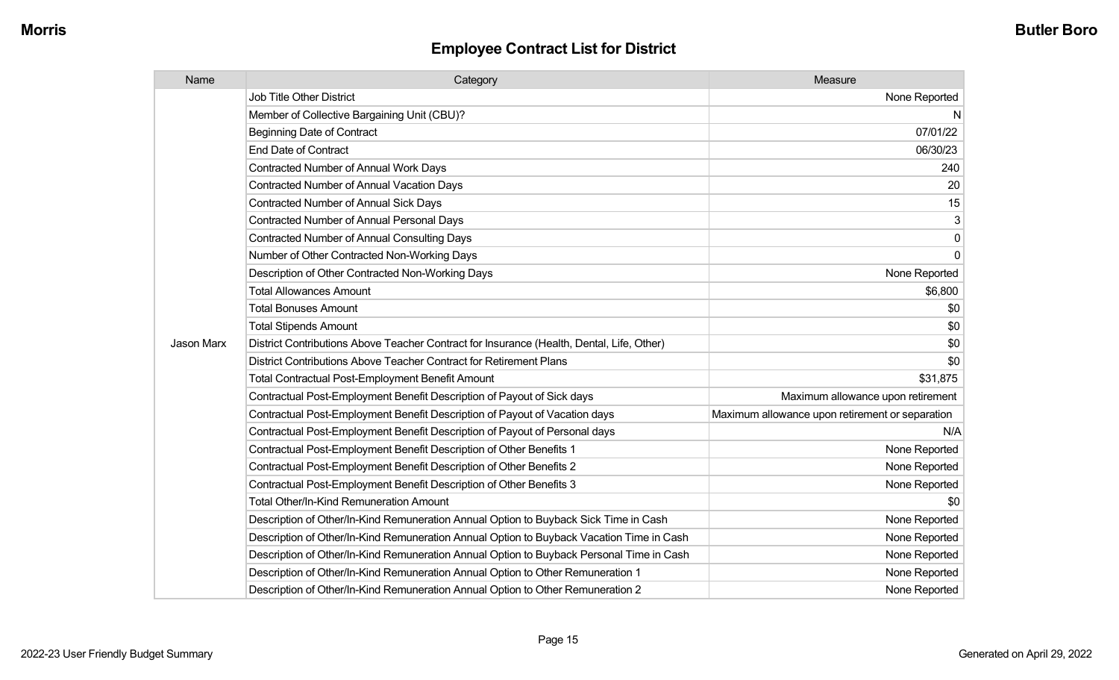| Name       | Category                                                                                  | Measure                                         |
|------------|-------------------------------------------------------------------------------------------|-------------------------------------------------|
|            | <b>Job Title Other District</b>                                                           | None Reported                                   |
|            | Member of Collective Bargaining Unit (CBU)?                                               | N                                               |
|            | <b>Beginning Date of Contract</b>                                                         | 07/01/22                                        |
|            | <b>End Date of Contract</b>                                                               | 06/30/23                                        |
|            | <b>Contracted Number of Annual Work Days</b>                                              | 240                                             |
|            | Contracted Number of Annual Vacation Days                                                 | 20                                              |
|            | Contracted Number of Annual Sick Days                                                     | 15                                              |
|            | Contracted Number of Annual Personal Days                                                 | 3                                               |
|            | <b>Contracted Number of Annual Consulting Days</b>                                        | 0                                               |
|            | Number of Other Contracted Non-Working Days                                               | $\mathbf 0$                                     |
|            | Description of Other Contracted Non-Working Days                                          | None Reported                                   |
|            | <b>Total Allowances Amount</b>                                                            | \$6,800                                         |
|            | <b>Total Bonuses Amount</b>                                                               | \$0                                             |
|            | <b>Total Stipends Amount</b>                                                              | \$0                                             |
| Jason Marx | District Contributions Above Teacher Contract for Insurance (Health, Dental, Life, Other) | \$0                                             |
|            | District Contributions Above Teacher Contract for Retirement Plans                        | \$0                                             |
|            | <b>Total Contractual Post-Employment Benefit Amount</b>                                   | \$31,875                                        |
|            | Contractual Post-Employment Benefit Description of Payout of Sick days                    | Maximum allowance upon retirement               |
|            | Contractual Post-Employment Benefit Description of Payout of Vacation days                | Maximum allowance upon retirement or separation |
|            | Contractual Post-Employment Benefit Description of Payout of Personal days                | N/A                                             |
|            | Contractual Post-Employment Benefit Description of Other Benefits 1                       | None Reported                                   |
|            | Contractual Post-Employment Benefit Description of Other Benefits 2                       | None Reported                                   |
|            | Contractual Post-Employment Benefit Description of Other Benefits 3                       | None Reported                                   |
|            | Total Other/In-Kind Remuneration Amount                                                   | \$0                                             |
|            | Description of Other/In-Kind Remuneration Annual Option to Buyback Sick Time in Cash      | None Reported                                   |
|            | Description of Other/In-Kind Remuneration Annual Option to Buyback Vacation Time in Cash  | None Reported                                   |
|            | Description of Other/In-Kind Remuneration Annual Option to Buyback Personal Time in Cash  | None Reported                                   |
|            | Description of Other/In-Kind Remuneration Annual Option to Other Remuneration 1           | None Reported                                   |
|            | Description of Other/In-Kind Remuneration Annual Option to Other Remuneration 2           | None Reported                                   |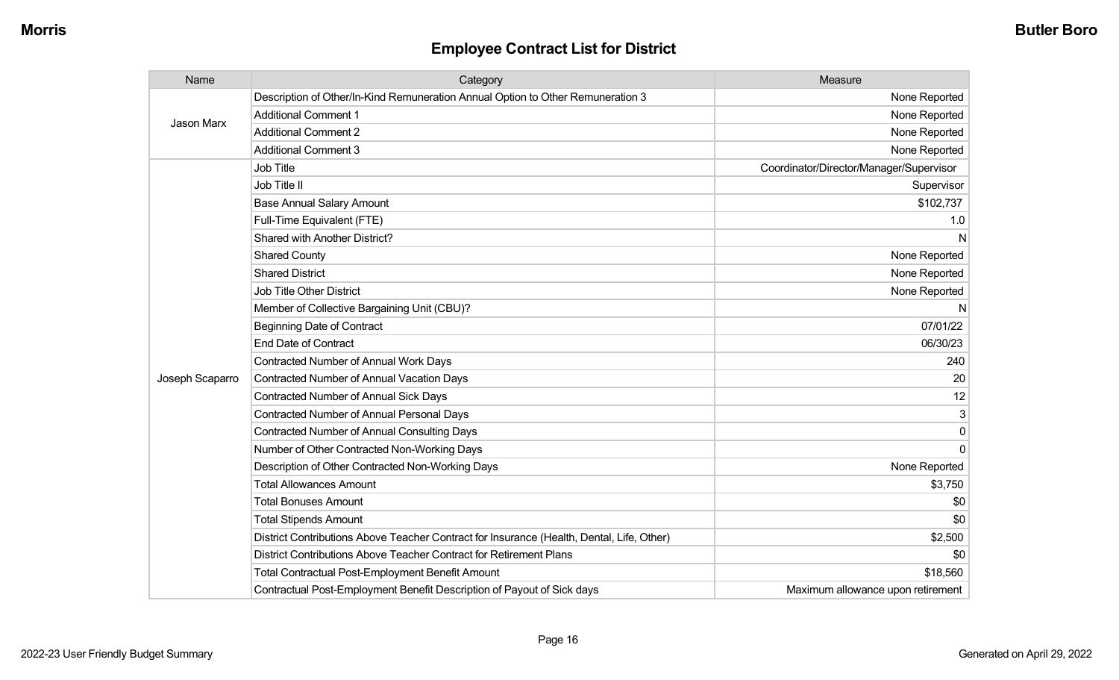| Name            | Category                                                                                  | Measure                                 |
|-----------------|-------------------------------------------------------------------------------------------|-----------------------------------------|
| Jason Marx      | Description of Other/In-Kind Remuneration Annual Option to Other Remuneration 3           | None Reported                           |
|                 | <b>Additional Comment 1</b>                                                               | None Reported                           |
|                 | <b>Additional Comment 2</b>                                                               | None Reported                           |
|                 | <b>Additional Comment 3</b>                                                               | None Reported                           |
|                 | <b>Job Title</b>                                                                          | Coordinator/Director/Manager/Supervisor |
|                 | Job Title II                                                                              | Supervisor                              |
|                 | <b>Base Annual Salary Amount</b>                                                          | \$102,737                               |
|                 | Full-Time Equivalent (FTE)                                                                | 1.0                                     |
|                 | Shared with Another District?                                                             | N                                       |
|                 | <b>Shared County</b>                                                                      | None Reported                           |
|                 | <b>Shared District</b>                                                                    | None Reported                           |
|                 | <b>Job Title Other District</b>                                                           | None Reported                           |
|                 | Member of Collective Bargaining Unit (CBU)?                                               | N                                       |
|                 | <b>Beginning Date of Contract</b>                                                         | 07/01/22                                |
|                 | <b>End Date of Contract</b>                                                               | 06/30/23                                |
|                 | <b>Contracted Number of Annual Work Days</b>                                              | 240                                     |
| Joseph Scaparro | <b>Contracted Number of Annual Vacation Days</b>                                          | 20                                      |
|                 | <b>Contracted Number of Annual Sick Days</b>                                              | 12                                      |
|                 | <b>Contracted Number of Annual Personal Days</b>                                          | 3                                       |
|                 | <b>Contracted Number of Annual Consulting Days</b>                                        | 0                                       |
|                 | Number of Other Contracted Non-Working Days                                               | 0                                       |
|                 | Description of Other Contracted Non-Working Days                                          | None Reported                           |
|                 | <b>Total Allowances Amount</b>                                                            | \$3,750                                 |
|                 | <b>Total Bonuses Amount</b>                                                               | \$0                                     |
|                 | <b>Total Stipends Amount</b>                                                              | \$0                                     |
|                 | District Contributions Above Teacher Contract for Insurance (Health, Dental, Life, Other) | \$2,500                                 |
|                 | District Contributions Above Teacher Contract for Retirement Plans                        | \$0                                     |
|                 | <b>Total Contractual Post-Employment Benefit Amount</b>                                   | \$18,560                                |
|                 | Contractual Post-Employment Benefit Description of Payout of Sick days                    | Maximum allowance upon retirement       |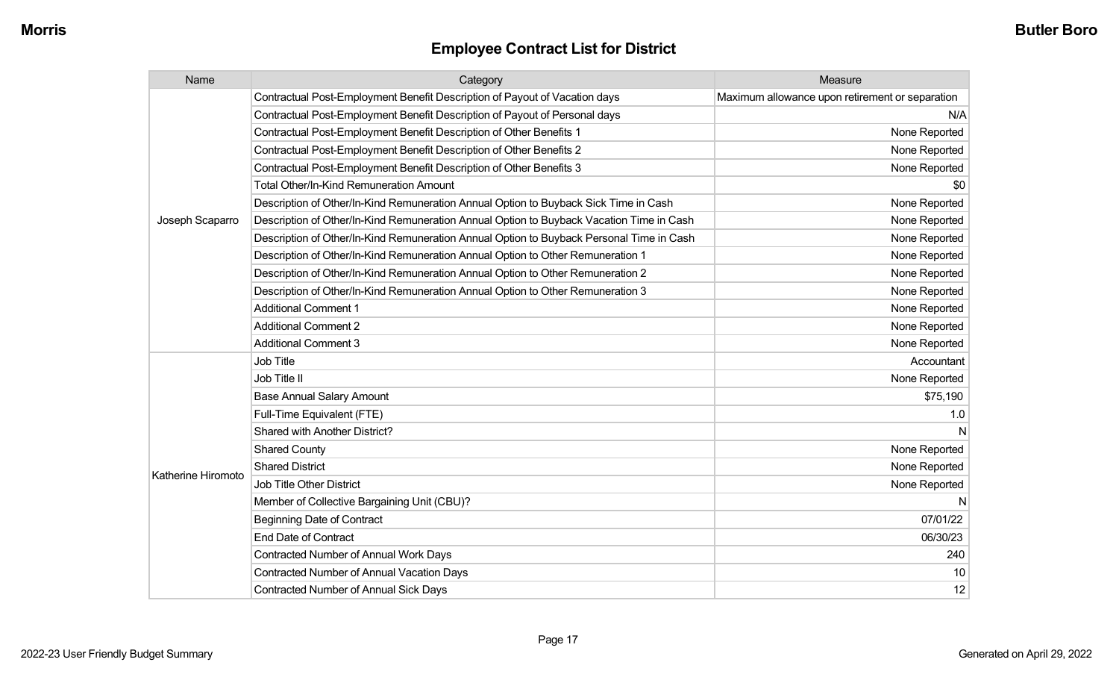| Name               | Category                                                                                 | Measure                                         |
|--------------------|------------------------------------------------------------------------------------------|-------------------------------------------------|
|                    | Contractual Post-Employment Benefit Description of Payout of Vacation days               | Maximum allowance upon retirement or separation |
|                    | Contractual Post-Employment Benefit Description of Payout of Personal days               | N/A                                             |
|                    | Contractual Post-Employment Benefit Description of Other Benefits 1                      | None Reported                                   |
|                    | Contractual Post-Employment Benefit Description of Other Benefits 2                      | None Reported                                   |
|                    | Contractual Post-Employment Benefit Description of Other Benefits 3                      | None Reported                                   |
|                    | Total Other/In-Kind Remuneration Amount                                                  | \$0                                             |
|                    | Description of Other/In-Kind Remuneration Annual Option to Buyback Sick Time in Cash     | None Reported                                   |
| Joseph Scaparro    | Description of Other/In-Kind Remuneration Annual Option to Buyback Vacation Time in Cash | None Reported                                   |
|                    | Description of Other/In-Kind Remuneration Annual Option to Buyback Personal Time in Cash | None Reported                                   |
|                    | Description of Other/In-Kind Remuneration Annual Option to Other Remuneration 1          | None Reported                                   |
|                    | Description of Other/In-Kind Remuneration Annual Option to Other Remuneration 2          | None Reported                                   |
|                    | Description of Other/In-Kind Remuneration Annual Option to Other Remuneration 3          | None Reported                                   |
|                    | <b>Additional Comment 1</b>                                                              | None Reported                                   |
|                    | <b>Additional Comment 2</b>                                                              | None Reported                                   |
|                    | <b>Additional Comment 3</b>                                                              | None Reported                                   |
|                    | Job Title                                                                                | Accountant                                      |
|                    | Job Title II                                                                             | None Reported                                   |
|                    | <b>Base Annual Salary Amount</b>                                                         | \$75,190                                        |
|                    | Full-Time Equivalent (FTE)                                                               | 1.0                                             |
|                    | Shared with Another District?                                                            | N                                               |
|                    | <b>Shared County</b>                                                                     | None Reported                                   |
| Katherine Hiromoto | <b>Shared District</b>                                                                   | None Reported                                   |
|                    | Job Title Other District                                                                 | None Reported                                   |
|                    | Member of Collective Bargaining Unit (CBU)?                                              | N                                               |
|                    | <b>Beginning Date of Contract</b>                                                        | 07/01/22                                        |
|                    | <b>End Date of Contract</b>                                                              | 06/30/23                                        |
|                    | Contracted Number of Annual Work Days                                                    | 240                                             |
|                    | <b>Contracted Number of Annual Vacation Days</b>                                         | 10                                              |
|                    | Contracted Number of Annual Sick Days                                                    | 12                                              |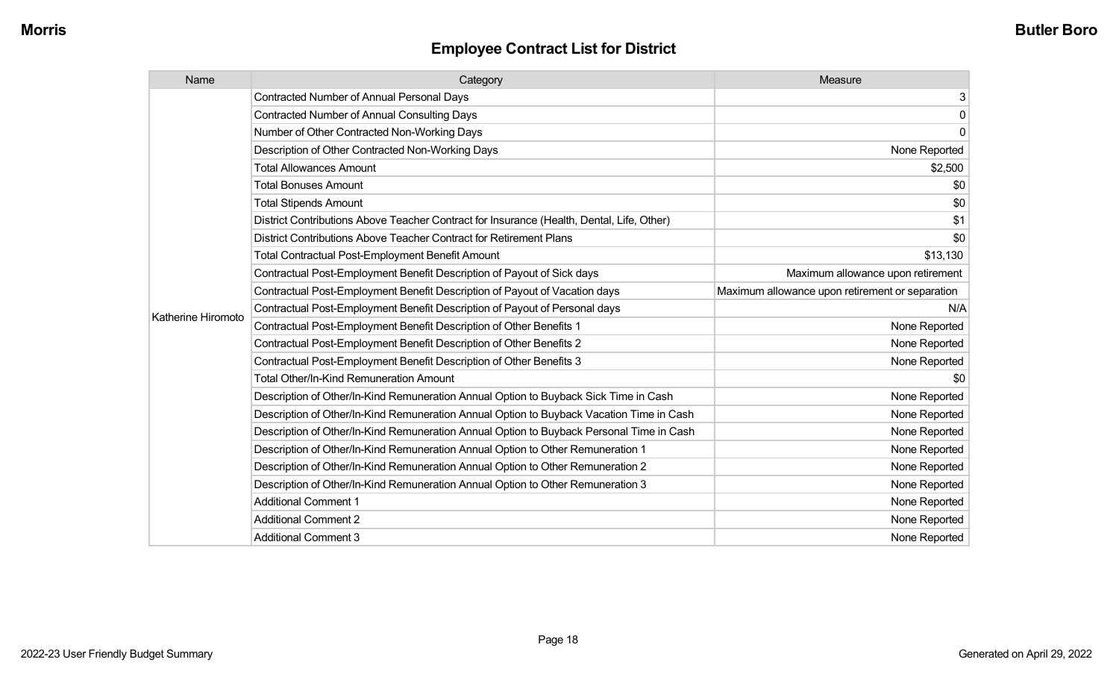| Name               | Category                                                                                  | Measure                                         |
|--------------------|-------------------------------------------------------------------------------------------|-------------------------------------------------|
|                    | <b>Contracted Number of Annual Personal Days</b>                                          | 3                                               |
|                    | <b>Contracted Number of Annual Consulting Days</b>                                        | 0                                               |
|                    | Number of Other Contracted Non-Working Days                                               | $\mathbf 0$                                     |
|                    | Description of Other Contracted Non-Working Days                                          | None Reported                                   |
|                    | <b>Total Allowances Amount</b>                                                            | \$2,500                                         |
|                    | <b>Total Bonuses Amount</b>                                                               | \$0                                             |
|                    | <b>Total Stipends Amount</b>                                                              | \$0                                             |
|                    | District Contributions Above Teacher Contract for Insurance (Health, Dental, Life, Other) | \$1                                             |
|                    | District Contributions Above Teacher Contract for Retirement Plans                        | \$0                                             |
|                    | <b>Total Contractual Post-Employment Benefit Amount</b>                                   | \$13,130                                        |
|                    | Contractual Post-Employment Benefit Description of Payout of Sick days                    | Maximum allowance upon retirement               |
|                    | Contractual Post-Employment Benefit Description of Payout of Vacation days                | Maximum allowance upon retirement or separation |
| Katherine Hiromoto | Contractual Post-Employment Benefit Description of Payout of Personal days                | N/A                                             |
|                    | Contractual Post-Employment Benefit Description of Other Benefits 1                       | None Reported                                   |
|                    | Contractual Post-Employment Benefit Description of Other Benefits 2                       | None Reported                                   |
|                    | Contractual Post-Employment Benefit Description of Other Benefits 3                       | None Reported                                   |
|                    | <b>Total Other/In-Kind Remuneration Amount</b>                                            | \$0                                             |
|                    | Description of Other/In-Kind Remuneration Annual Option to Buyback Sick Time in Cash      | None Reported                                   |
|                    | Description of Other/In-Kind Remuneration Annual Option to Buyback Vacation Time in Cash  | None Reported                                   |
|                    | Description of Other/In-Kind Remuneration Annual Option to Buyback Personal Time in Cash  | None Reported                                   |
|                    | Description of Other/In-Kind Remuneration Annual Option to Other Remuneration 1           | None Reported                                   |
|                    | Description of Other/In-Kind Remuneration Annual Option to Other Remuneration 2           | None Reported                                   |
|                    | Description of Other/In-Kind Remuneration Annual Option to Other Remuneration 3           | None Reported                                   |
|                    | <b>Additional Comment 1</b>                                                               | None Reported                                   |
|                    | <b>Additional Comment 2</b>                                                               | None Reported                                   |
|                    | <b>Additional Comment 3</b>                                                               | None Reported                                   |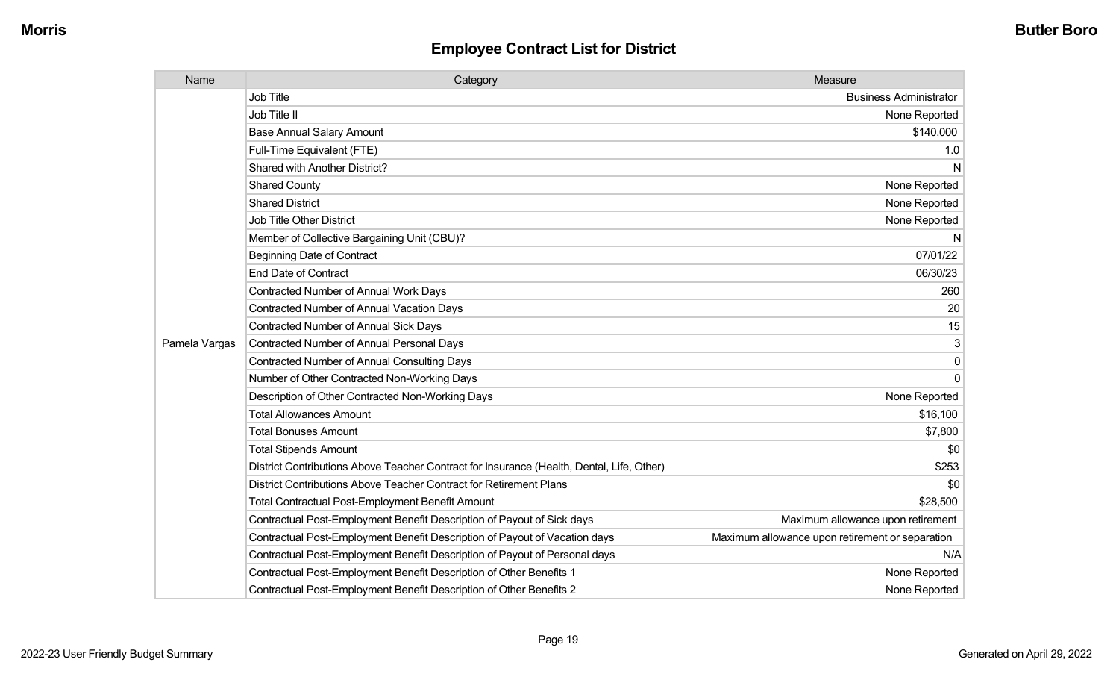| Name          | Category                                                                                  | Measure                                         |
|---------------|-------------------------------------------------------------------------------------------|-------------------------------------------------|
|               | <b>Job Title</b>                                                                          | <b>Business Administrator</b>                   |
|               | Job Title II                                                                              | None Reported                                   |
|               | <b>Base Annual Salary Amount</b>                                                          | \$140,000                                       |
|               | Full-Time Equivalent (FTE)                                                                | 1.0                                             |
|               | Shared with Another District?                                                             | N                                               |
|               | <b>Shared County</b>                                                                      | None Reported                                   |
|               | <b>Shared District</b>                                                                    | None Reported                                   |
|               | <b>Job Title Other District</b>                                                           | None Reported                                   |
|               | Member of Collective Bargaining Unit (CBU)?                                               | N                                               |
|               | <b>Beginning Date of Contract</b>                                                         | 07/01/22                                        |
|               | <b>End Date of Contract</b>                                                               | 06/30/23                                        |
|               | Contracted Number of Annual Work Days                                                     | 260                                             |
|               | Contracted Number of Annual Vacation Days                                                 | 20                                              |
|               | Contracted Number of Annual Sick Days                                                     | 15                                              |
| Pamela Vargas | Contracted Number of Annual Personal Days                                                 | 3                                               |
|               | <b>Contracted Number of Annual Consulting Days</b>                                        | 0                                               |
|               | Number of Other Contracted Non-Working Days                                               | $\mathbf 0$                                     |
|               | Description of Other Contracted Non-Working Days                                          | None Reported                                   |
|               | <b>Total Allowances Amount</b>                                                            | \$16,100                                        |
|               | <b>Total Bonuses Amount</b>                                                               | \$7,800                                         |
|               | <b>Total Stipends Amount</b>                                                              | \$0                                             |
|               | District Contributions Above Teacher Contract for Insurance (Health, Dental, Life, Other) | \$253                                           |
|               | District Contributions Above Teacher Contract for Retirement Plans                        | \$0                                             |
|               | <b>Total Contractual Post-Employment Benefit Amount</b>                                   | \$28,500                                        |
|               | Contractual Post-Employment Benefit Description of Payout of Sick days                    | Maximum allowance upon retirement               |
|               | Contractual Post-Employment Benefit Description of Payout of Vacation days                | Maximum allowance upon retirement or separation |
|               | Contractual Post-Employment Benefit Description of Payout of Personal days                | N/A                                             |
|               | Contractual Post-Employment Benefit Description of Other Benefits 1                       | None Reported                                   |
|               | Contractual Post-Employment Benefit Description of Other Benefits 2                       | None Reported                                   |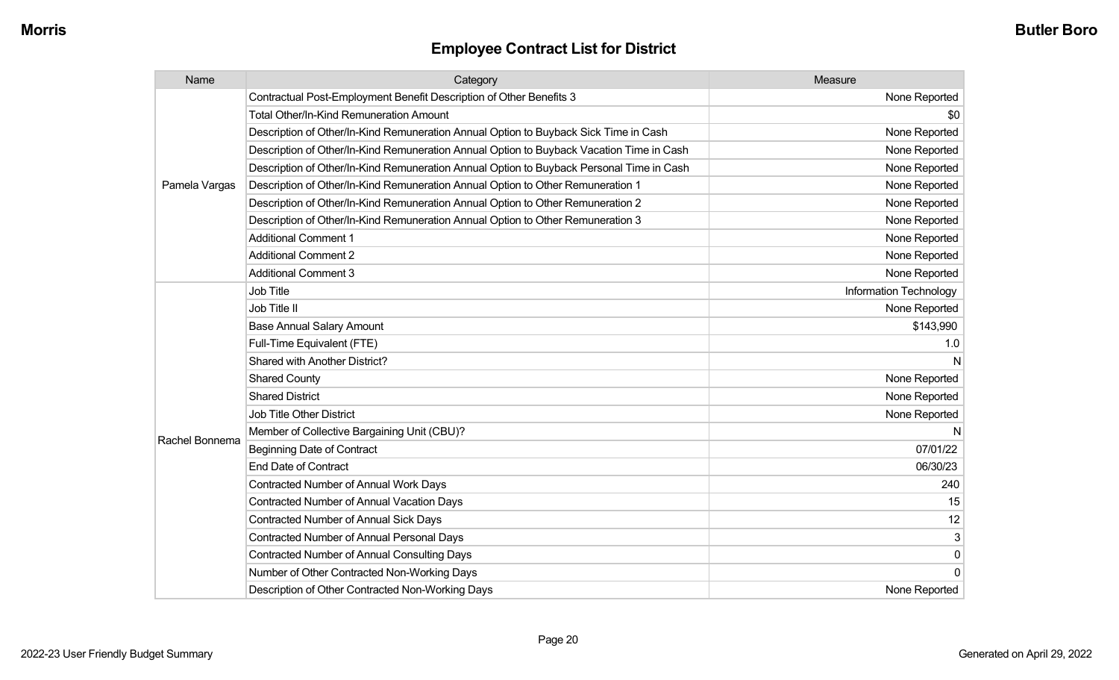| Name           | Category                                                                                 | Measure                       |
|----------------|------------------------------------------------------------------------------------------|-------------------------------|
|                | Contractual Post-Employment Benefit Description of Other Benefits 3                      | None Reported                 |
|                | <b>Total Other/In-Kind Remuneration Amount</b>                                           | \$0                           |
|                | Description of Other/In-Kind Remuneration Annual Option to Buyback Sick Time in Cash     | None Reported                 |
|                | Description of Other/In-Kind Remuneration Annual Option to Buyback Vacation Time in Cash | None Reported                 |
|                | Description of Other/In-Kind Remuneration Annual Option to Buyback Personal Time in Cash | None Reported                 |
| Pamela Vargas  | Description of Other/In-Kind Remuneration Annual Option to Other Remuneration 1          | None Reported                 |
|                | Description of Other/In-Kind Remuneration Annual Option to Other Remuneration 2          | None Reported                 |
|                | Description of Other/In-Kind Remuneration Annual Option to Other Remuneration 3          | None Reported                 |
|                | <b>Additional Comment 1</b>                                                              | None Reported                 |
|                | <b>Additional Comment 2</b>                                                              | None Reported                 |
|                | <b>Additional Comment 3</b>                                                              | None Reported                 |
|                | <b>Job Title</b>                                                                         | <b>Information Technology</b> |
|                | Job Title II                                                                             | None Reported                 |
|                | <b>Base Annual Salary Amount</b>                                                         | \$143,990                     |
|                | Full-Time Equivalent (FTE)                                                               | 1.0                           |
|                | Shared with Another District?                                                            |                               |
|                | <b>Shared County</b>                                                                     | None Reported                 |
|                | <b>Shared District</b>                                                                   | None Reported                 |
|                | <b>Job Title Other District</b>                                                          | None Reported                 |
|                | Member of Collective Bargaining Unit (CBU)?                                              |                               |
| Rachel Bonnema | <b>Beginning Date of Contract</b>                                                        | 07/01/22                      |
|                | <b>End Date of Contract</b>                                                              | 06/30/23                      |
|                | Contracted Number of Annual Work Days                                                    | 240                           |
|                | Contracted Number of Annual Vacation Days                                                | 15                            |
|                | <b>Contracted Number of Annual Sick Days</b>                                             | 12                            |
|                | Contracted Number of Annual Personal Days                                                | 3                             |
|                | <b>Contracted Number of Annual Consulting Days</b>                                       | $\pmb{0}$                     |
|                | Number of Other Contracted Non-Working Days                                              | 0                             |
|                | Description of Other Contracted Non-Working Days                                         | None Reported                 |